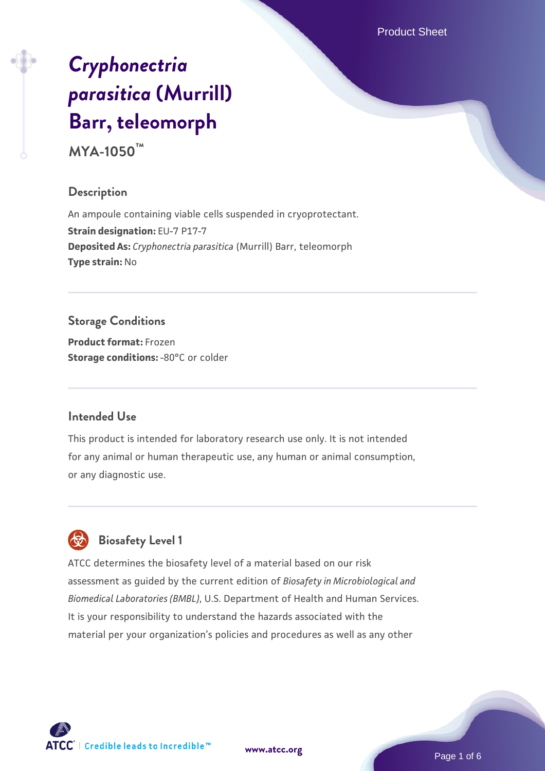Product Sheet

# *[Cryphonectria](https://www.atcc.org/products/mya-1050) [parasitica](https://www.atcc.org/products/mya-1050)* **[\(Murrill\)](https://www.atcc.org/products/mya-1050) [Barr, teleomorph](https://www.atcc.org/products/mya-1050)**

**MYA-1050™**

## **Description**

An ampoule containing viable cells suspended in cryoprotectant. **Strain designation: EU-7 P17-7 Deposited As:** *Cryphonectria parasitica* (Murrill) Barr, teleomorph **Type strain:** No

# **Storage Conditions**

**Product format:** Frozen **Storage conditions: -80°C** or colder

# **Intended Use**

This product is intended for laboratory research use only. It is not intended for any animal or human therapeutic use, any human or animal consumption, or any diagnostic use.



# **Biosafety Level 1**

ATCC determines the biosafety level of a material based on our risk assessment as guided by the current edition of *Biosafety in Microbiological and Biomedical Laboratories (BMBL)*, U.S. Department of Health and Human Services. It is your responsibility to understand the hazards associated with the material per your organization's policies and procedures as well as any other

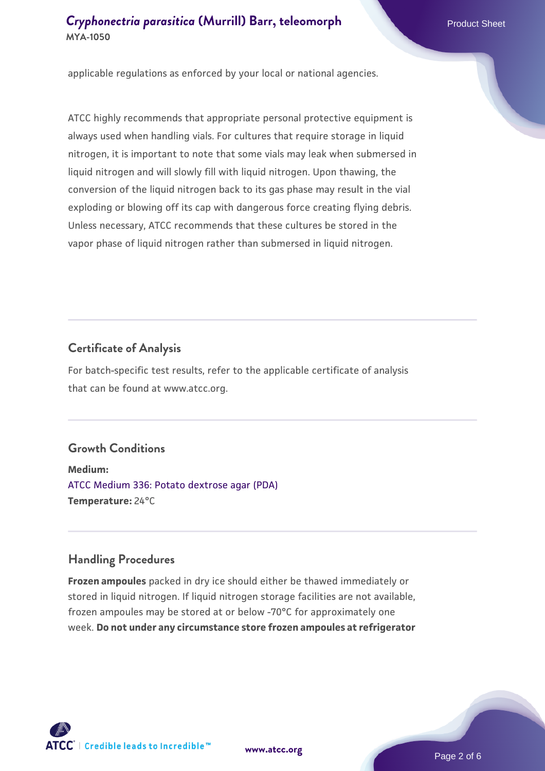applicable regulations as enforced by your local or national agencies.

ATCC highly recommends that appropriate personal protective equipment is always used when handling vials. For cultures that require storage in liquid nitrogen, it is important to note that some vials may leak when submersed in liquid nitrogen and will slowly fill with liquid nitrogen. Upon thawing, the conversion of the liquid nitrogen back to its gas phase may result in the vial exploding or blowing off its cap with dangerous force creating flying debris. Unless necessary, ATCC recommends that these cultures be stored in the vapor phase of liquid nitrogen rather than submersed in liquid nitrogen.

## **Certificate of Analysis**

For batch-specific test results, refer to the applicable certificate of analysis that can be found at www.atcc.org.

# **Growth Conditions**

**Medium:**  [ATCC Medium 336: Potato dextrose agar \(PDA\)](https://www.atcc.org/-/media/product-assets/documents/microbial-media-formulations/3/3/6/atcc-medium-336.pdf?rev=d9160ad44d934cd8b65175461abbf3b9) **Temperature:** 24°C

#### **Handling Procedures**

**Frozen ampoules** packed in dry ice should either be thawed immediately or stored in liquid nitrogen. If liquid nitrogen storage facilities are not available, frozen ampoules may be stored at or below -70°C for approximately one week. **Do not under any circumstance store frozen ampoules at refrigerator**



**[www.atcc.org](http://www.atcc.org)**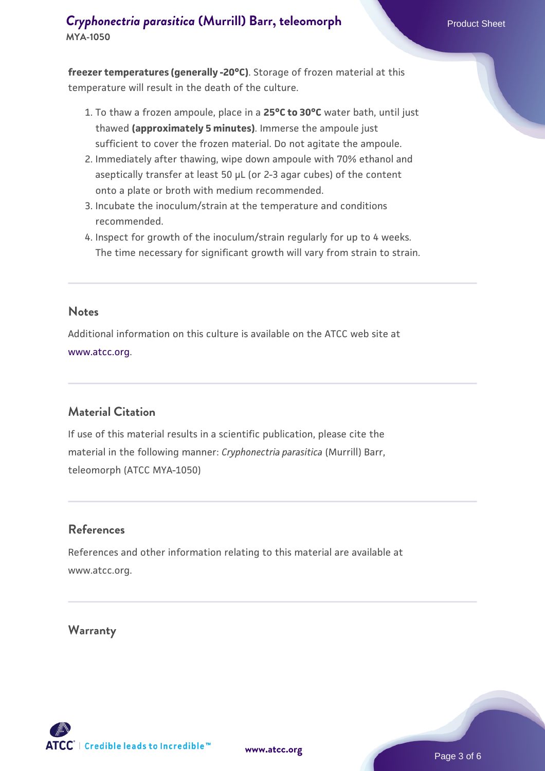**freezer temperatures (generally -20°C)**. Storage of frozen material at this temperature will result in the death of the culture.

- 1. To thaw a frozen ampoule, place in a **25°C to 30°C** water bath, until just thawed **(approximately 5 minutes)**. Immerse the ampoule just sufficient to cover the frozen material. Do not agitate the ampoule.
- 2. Immediately after thawing, wipe down ampoule with 70% ethanol and aseptically transfer at least 50 µL (or 2-3 agar cubes) of the content onto a plate or broth with medium recommended.
- 3. Incubate the inoculum/strain at the temperature and conditions recommended.
- 4. Inspect for growth of the inoculum/strain regularly for up to 4 weeks. The time necessary for significant growth will vary from strain to strain.

#### **Notes**

Additional information on this culture is available on the ATCC web site at [www.atcc.org.](http://www.atcc.org/)

# **Material Citation**

If use of this material results in a scientific publication, please cite the material in the following manner: *Cryphonectria parasitica* (Murrill) Barr, teleomorph (ATCC MYA-1050)

#### **References**

References and other information relating to this material are available at www.atcc.org.

#### **Warranty**

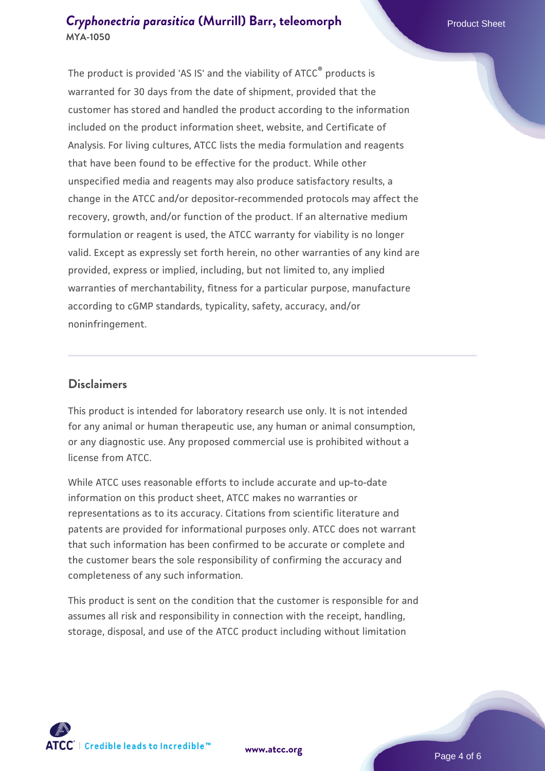The product is provided 'AS IS' and the viability of ATCC® products is warranted for 30 days from the date of shipment, provided that the customer has stored and handled the product according to the information included on the product information sheet, website, and Certificate of Analysis. For living cultures, ATCC lists the media formulation and reagents that have been found to be effective for the product. While other unspecified media and reagents may also produce satisfactory results, a change in the ATCC and/or depositor-recommended protocols may affect the recovery, growth, and/or function of the product. If an alternative medium formulation or reagent is used, the ATCC warranty for viability is no longer valid. Except as expressly set forth herein, no other warranties of any kind are provided, express or implied, including, but not limited to, any implied warranties of merchantability, fitness for a particular purpose, manufacture according to cGMP standards, typicality, safety, accuracy, and/or noninfringement.

#### **Disclaimers**

This product is intended for laboratory research use only. It is not intended for any animal or human therapeutic use, any human or animal consumption, or any diagnostic use. Any proposed commercial use is prohibited without a license from ATCC.

While ATCC uses reasonable efforts to include accurate and up-to-date information on this product sheet, ATCC makes no warranties or representations as to its accuracy. Citations from scientific literature and patents are provided for informational purposes only. ATCC does not warrant that such information has been confirmed to be accurate or complete and the customer bears the sole responsibility of confirming the accuracy and completeness of any such information.

This product is sent on the condition that the customer is responsible for and assumes all risk and responsibility in connection with the receipt, handling, storage, disposal, and use of the ATCC product including without limitation



**[www.atcc.org](http://www.atcc.org)**

Page 4 of 6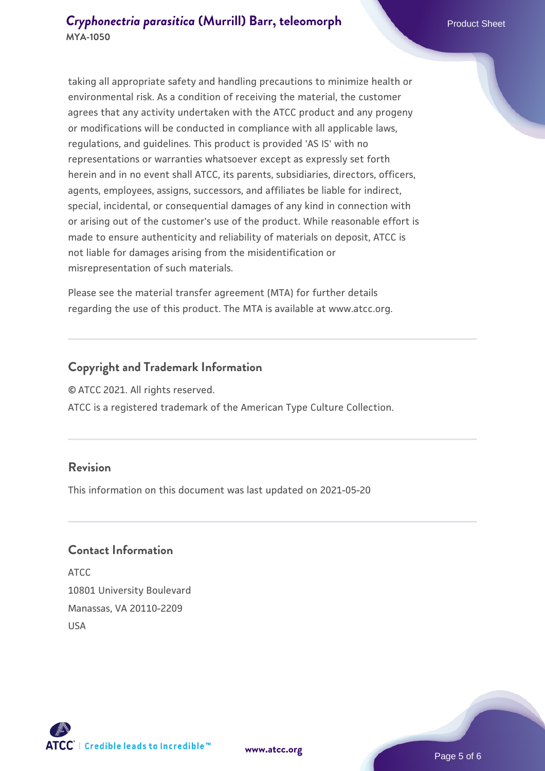taking all appropriate safety and handling precautions to minimize health or environmental risk. As a condition of receiving the material, the customer agrees that any activity undertaken with the ATCC product and any progeny or modifications will be conducted in compliance with all applicable laws, regulations, and guidelines. This product is provided 'AS IS' with no representations or warranties whatsoever except as expressly set forth herein and in no event shall ATCC, its parents, subsidiaries, directors, officers, agents, employees, assigns, successors, and affiliates be liable for indirect, special, incidental, or consequential damages of any kind in connection with or arising out of the customer's use of the product. While reasonable effort is made to ensure authenticity and reliability of materials on deposit, ATCC is not liable for damages arising from the misidentification or misrepresentation of such materials.

Please see the material transfer agreement (MTA) for further details regarding the use of this product. The MTA is available at www.atcc.org.

#### **Copyright and Trademark Information**

© ATCC 2021. All rights reserved.

ATCC is a registered trademark of the American Type Culture Collection.

#### **Revision**

This information on this document was last updated on 2021-05-20

#### **Contact Information**

ATCC 10801 University Boulevard Manassas, VA 20110-2209 USA